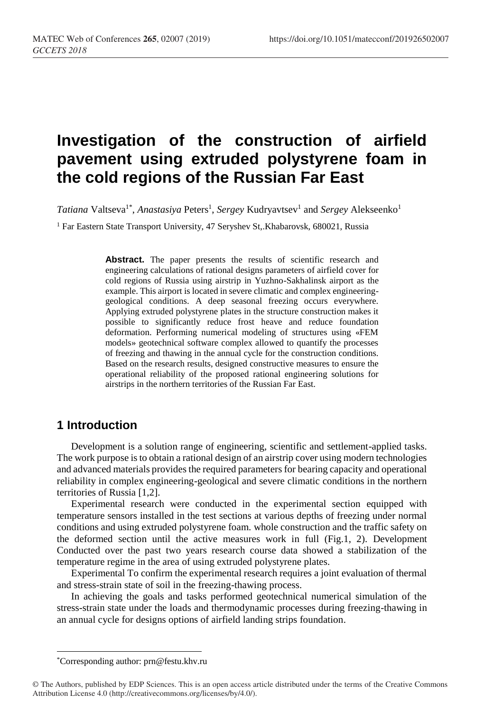# **Investigation of the construction of airfield pavement using extruded polystyrene foam in the cold regions of the Russian Far East**

Tatiana Valtseva<sup>1\*</sup>, *Anastasiya* Peters<sup>1</sup>, *Sergey* Kudryavtsev<sup>1</sup> and *Sergey* Alekseenko<sup>1</sup>

<sup>1</sup> Far Eastern State Transport University, 47 Seryshev St, Khabarovsk, 680021, Russia

Abstract. The paper presents the results of scientific research and engineering calculations of rational designs parameters of airfield cover for cold regions of Russia using airstrip in Yuzhno-Sakhalinsk airport as the example. This airport is located in severe climatic and complex engineeringgeological conditions. A deep seasonal freezing occurs everywhere. Applying extruded polystyrene plates in the structure construction makes it possible to significantly reduce frost heave and reduce foundation deformation. Performing numerical modeling of structures using «FEM models» geotechnical software complex allowed to quantify the processes of freezing and thawing in the annual cycle for the construction conditions. Based on the research results, designed constructive measures to ensure the operational reliability of the proposed rational engineering solutions for airstrips in the northern territories of the Russian Far East.

### **1 Introduction**

Development is a solution range of engineering, scientific and settlement-applied tasks. The work purpose is to obtain a rational design of an airstrip cover using modern technologies and advanced materials provides the required parameters for bearing capacity and operational reliability in complex engineering-geological and severe climatic conditions in the northern territories of Russia [1,2].

Experimental research were conducted in the experimental section equipped with temperature sensors installed in the test sections at various depths of freezing under normal conditions and using extruded polystyrene foam. whole construction and the traffic safety on the deformed section until the active measures work in full (Fig.1, 2). Development Conducted over the past two years research course data showed a stabilization of the temperature regime in the area of using extruded polystyrene plates.

Experimental To confirm the experimental research requires a joint evaluation of thermal and stress-strain state of soil in the freezing-thawing process.

In achieving the goals and tasks performed geotechnical numerical simulation of the stress-strain state under the loads and thermodynamic processes during freezing-thawing in an annual cycle for designs options of airfield landing strips foundation.

 $\overline{a}$ 

<sup>\*</sup>Corresponding author: prn@festu.khv.ru

<sup>©</sup> The Authors, published by EDP Sciences. This is an open access article distributed under the terms of the Creative Commons Attribution License 4.0 (http://creativecommons.org/licenses/by/4.0/).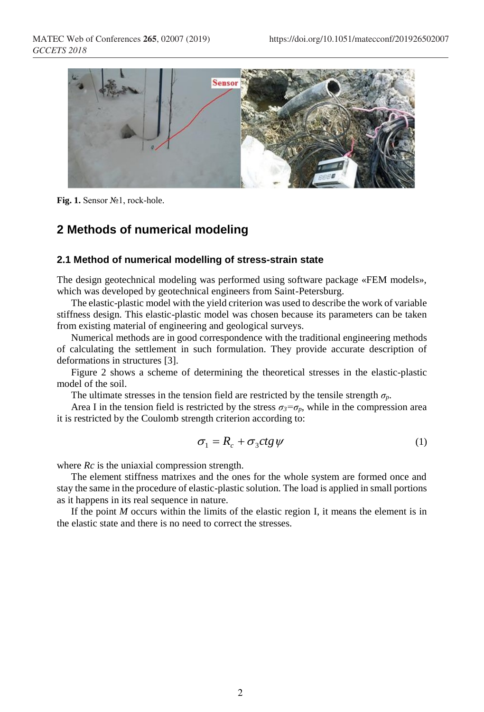

**Fig. 1.** Sensor №1, rock-hole.

### **2 Methods of numerical modeling**

#### **2.1 Method of numerical modelling of stress-strain state**

The design geotechnical modeling was performed using software package «FEM models», which was developed by geotechnical engineers from Saint-Petersburg.

The elastic-plastic model with the yield criterion was used to describe the work of variable stiffness design. This elastic-plastic model was chosen because its parameters can be taken from existing material of engineering and geological surveys.

Numerical methods are in good correspondence with the traditional engineering methods of calculating the settlement in such formulation. They provide accurate description of deformations in structures [3].

Figure 2 shows a scheme of determining the theoretical stresses in the elastic-plastic model of the soil.

The ultimate stresses in the tension field are restricted by the tensile strength  $\sigma_p$ .

Area I in the tension field is restricted by the stress  $\sigma_3 = \sigma_p$ , while in the compression area it is restricted by the Coulomb strength criterion according to:

$$
\sigma_1 = R_c + \sigma_3 ctg \psi \tag{1}
$$

where *Rc* is the uniaxial compression strength.

The element stiffness matrixes and the ones for the whole system are formed once and stay the same in the procedure of elastic-plastic solution. The load is applied in small portions as it happens in its real sequence in nature.

If the point *M* occurs within the limits of the elastic region I, it means the element is in the elastic state and there is no need to correct the stresses.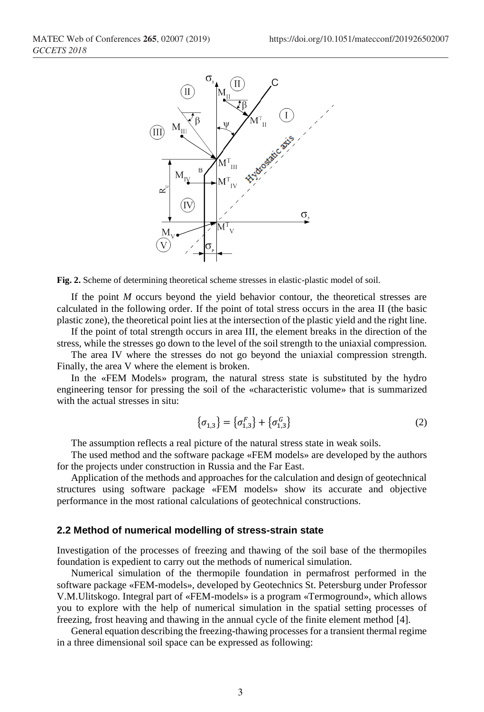

**Fig. 2.** Scheme of determining theoretical scheme stresses in elastic-plastic model of soil.

If the point *M* occurs beyond the yield behavior contour, the theoretical stresses are calculated in the following order. If the point of total stress occurs in the area II (the basic plastic zone), the theoretical point lies at the intersection of the plastic yield and the right line.

If the point of total strength occurs in area III, the element breaks in the direction of the stress, while the stresses go down to the level of the soil strength to the uniaxial compression.

The area IV where the stresses do not go beyond the uniaxial compression strength. Finally, the area V where the element is broken.

In the «FEM Models» program, the natural stress state is substituted by the hydro engineering tensor for pressing the soil of the «characteristic volume» that is summarized with the actual stresses in situ:

$$
\{\sigma_{1,3}\} = \{\sigma_{1,3}^F\} + \{\sigma_{1,3}^G\} \tag{2}
$$

The assumption reflects a real picture of the natural stress state in weak soils.

The used method and the software package «FEM models» are developed by the authors for the projects under construction in Russia and the Far East.

Application of the methods and approaches for the calculation and design of geotechnical structures using software package «FEM models» show its accurate and objective performance in the most rational calculations of geotechnical constructions.

#### **2.2 Method of numerical modelling of stress-strain state**

Investigation of the processes of freezing and thawing of the soil base of the thermopiles foundation is expedient to carry out the methods of numerical simulation.

Numerical simulation of the thermopile foundation in permafrost performed in the software package «FEM-models», developed by Geotechnics St. Petersburg under Professor V.M.Ulitskogo. Integral part of «FEM-models» is a program «Termoground», which allows you to explore with the help of numerical simulation in the spatial setting processes of freezing, frost heaving and thawing in the annual cycle of the finite element method [4].

General equation describing the freezing-thawing processes for a transient thermal regime in a three dimensional soil space can be expressed as following: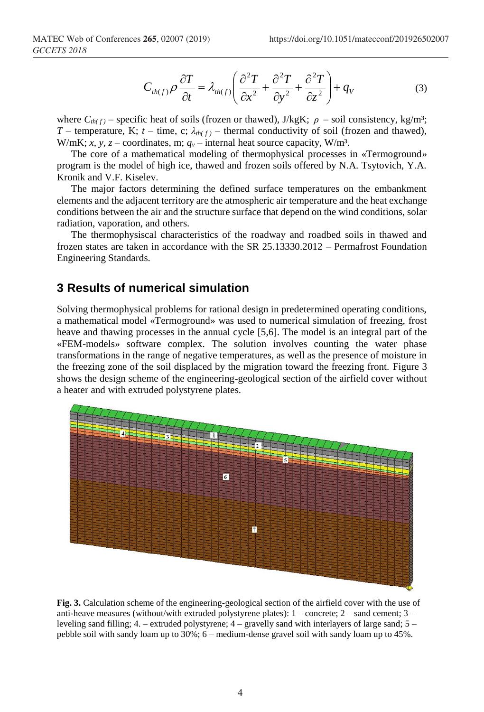$$
C_{th(f)} \rho \frac{\partial T}{\partial t} = \lambda_{th(f)} \left( \frac{\partial^2 T}{\partial x^2} + \frac{\partial^2 T}{\partial y^2} + \frac{\partial^2 T}{\partial z^2} \right) + q_V \tag{3}
$$

where  $C_{th(f)}$  – specific heat of soils (frozen or thawed), J/kgK;  $\rho$  – soil consistency, kg/m<sup>3</sup>; *T* – temperature, K; *t* – time, c; *λth( f )* – thermal conductivity of soil (frozen and thawed), W/mK; *x*, *y*, *z* – coordinates, m;  $q_v$  – internal heat source capacity, W/m<sup>3</sup>.

The core of a mathematical modeling of thermophysical processes in «Termoground» program is the model of high ice, thawed and frozen soils offered by N.A. Tsytovich, Y.A. Kronik and V.F. Kiselev.

The major factors determining the defined surface temperatures on the embankment elements and the adjacent territory are the atmospheric air temperature and the heat exchange conditions between the air and the structure surface that depend on the wind conditions, solar radiation, vaporation, and others.

The thermophysiscal characteristics of the roadway and roadbed soils in thawed and frozen states are taken in accordance with the SR 25.13330.2012 – Permafrost Foundation Engineering Standards.

#### **3 Results of numerical simulation**

Solving thermophysical problems for rational design in predetermined operating conditions, a mathematical model «Termoground» was used to numerical simulation of freezing, frost heave and thawing processes in the annual cycle [5,6]. The model is an integral part of the «FEM-models» software complex. The solution involves counting the water phase transformations in the range of negative temperatures, as well as the presence of moisture in the freezing zone of the soil displaced by the migration toward the freezing front. Figure 3 shows the design scheme of the engineering-geological section of the airfield cover without a heater and with extruded polystyrene plates.



**Fig. 3.** Calculation scheme of the engineering-geological section of the airfield cover with the use of anti-heave measures (without/with extruded polystyrene plates):  $1$  – concrete;  $2$  – sand cement;  $3$  – leveling sand filling; 4. – extruded polystyrene; 4 – gravelly sand with interlayers of large sand; 5 – pebble soil with sandy loam up to 30%; 6 – medium-dense gravel soil with sandy loam up to 45%.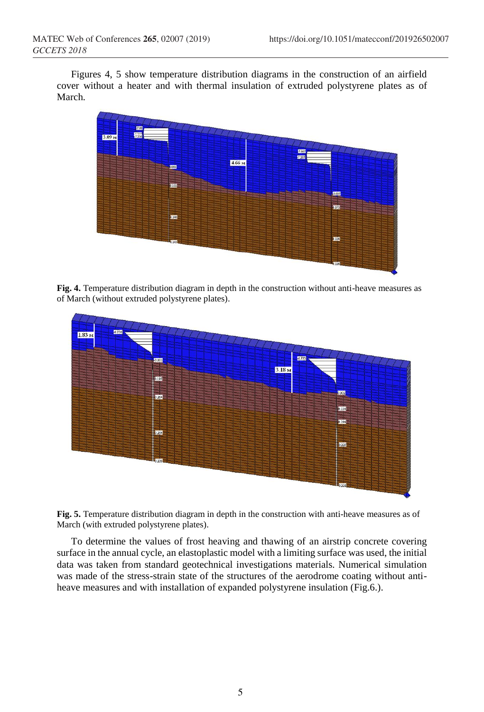Figures 4, 5 show temperature distribution diagrams in the construction of an airfield cover without a heater and with thermal insulation of extruded polystyrene plates as of March.



**Fig. 4.** Temperature distribution diagram in depth in the construction without anti-heave measures as of March (without extruded polystyrene plates).





To determine the values of frost heaving and thawing of an airstrip concrete covering surface in the annual cycle, an elastoplastic model with a limiting surface was used, the initial data was taken from standard geotechnical investigations materials. Numerical simulation was made of the stress-strain state of the structures of the aerodrome coating without antiheave measures and with installation of expanded polystyrene insulation (Fig.6.).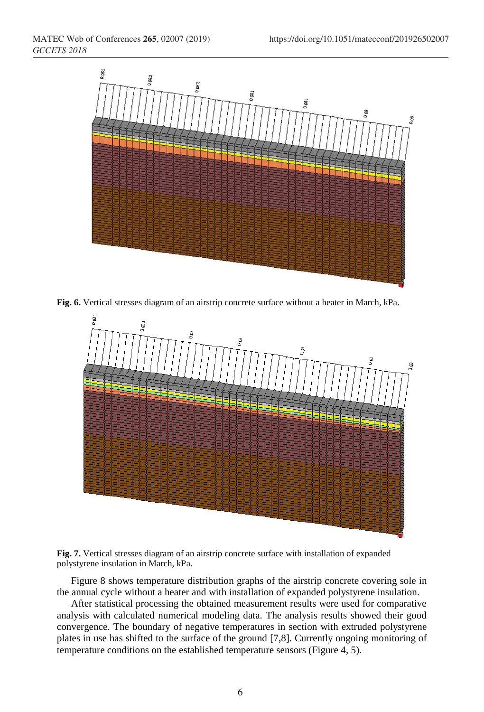

**Fig. 6.** Vertical stresses diagram of an airstrip concrete surface without a heater in March, kPa.





Figure 8 shows temperature distribution graphs of the airstrip concrete covering sole in the annual cycle without a heater and with installation of expanded polystyrene insulation.

After statistical processing the obtained measurement results were used for comparative analysis with calculated numerical modeling data. The analysis results showed their good convergence. The boundary of negative temperatures in section with extruded polystyrene plates in use has shifted to the surface of the ground [7,8]. Currently ongoing monitoring of temperature conditions on the established temperature sensors (Figure 4, 5).